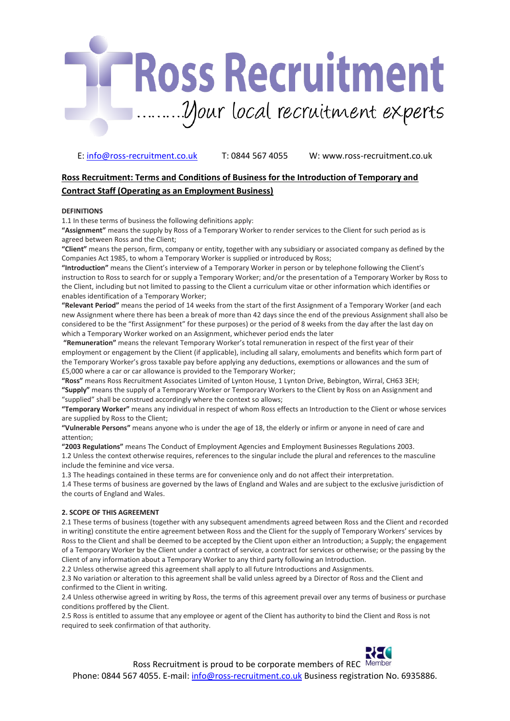

# **Ross Recruitment: Terms and Conditions of Business for the Introduction of Temporary and Contract Staff (Operating as an Employment Business)**

# **DEFINITIONS**

1.1 In these terms of business the following definitions apply:

**"Assignment"** means the supply by Ross of a Temporary Worker to render services to the Client for such period as is agreed between Ross and the Client;

**"Client"** means the person, firm, company or entity, together with any subsidiary or associated company as defined by the Companies Act 1985, to whom a Temporary Worker is supplied or introduced by Ross;

**"Introduction"** means the Client's interview of a Temporary Worker in person or by telephone following the Client's instruction to Ross to search for or supply a Temporary Worker; and/or the presentation of a Temporary Worker by Ross to the Client, including but not limited to passing to the Client a curriculum vitae or other information which identifies or enables identification of a Temporary Worker;

**"Relevant Period"** means the period of 14 weeks from the start of the first Assignment of a Temporary Worker (and each new Assignment where there has been a break of more than 42 days since the end of the previous Assignment shall also be considered to be the "first Assignment" for these purposes) or the period of 8 weeks from the day after the last day on which a Temporary Worker worked on an Assignment, whichever period ends the later

**"Remuneration"** means the relevant Temporary Worker's total remuneration in respect of the first year of their employment or engagement by the Client (if applicable), including all salary, emoluments and benefits which form part of the Temporary Worker's gross taxable pay before applying any deductions, exemptions or allowances and the sum of £5,000 where a car or car allowance is provided to the Temporary Worker;

**"Ross"** means Ross Recruitment Associates Limited of Lynton House, 1 Lynton Drive, Bebington, Wirral, CH63 3EH; **"Supply"** means the supply of a Temporary Worker or Temporary Workers to the Client by Ross on an Assignment and

"supplied" shall be construed accordingly where the context so allows;

**"Temporary Worker"** means any individual in respect of whom Ross effects an Introduction to the Client or whose services are supplied by Ross to the Client;

**"Vulnerable Persons"** means anyone who is under the age of 18, the elderly or infirm or anyone in need of care and attention;

**"2003 Regulations"** means The Conduct of Employment Agencies and Employment Businesses Regulations 2003. 1.2 Unless the context otherwise requires, references to the singular include the plural and references to the masculine include the feminine and vice versa.

1.3 The headings contained in these terms are for convenience only and do not affect their interpretation.

1.4 These terms of business are governed by the laws of England and Wales and are subject to the exclusive jurisdiction of the courts of England and Wales.

# **2. SCOPE OF THIS AGREEMENT**

2.1 These terms of business (together with any subsequent amendments agreed between Ross and the Client and recorded in writing) constitute the entire agreement between Ross and the Client for the supply of Temporary Workers' services by Ross to the Client and shall be deemed to be accepted by the Client upon either an Introduction; a Supply; the engagement of a Temporary Worker by the Client under a contract of service, a contract for services or otherwise; or the passing by the Client of any information about a Temporary Worker to any third party following an Introduction.

2.2 Unless otherwise agreed this agreement shall apply to all future Introductions and Assignments.

2.3 No variation or alteration to this agreement shall be valid unless agreed by a Director of Ross and the Client and confirmed to the Client in writing.

2.4 Unless otherwise agreed in writing by Ross, the terms of this agreement prevail over any terms of business or purchase conditions proffered by the Client.

2.5 Ross is entitled to assume that any employee or agent of the Client has authority to bind the Client and Ross is not required to seek confirmation of that authority.

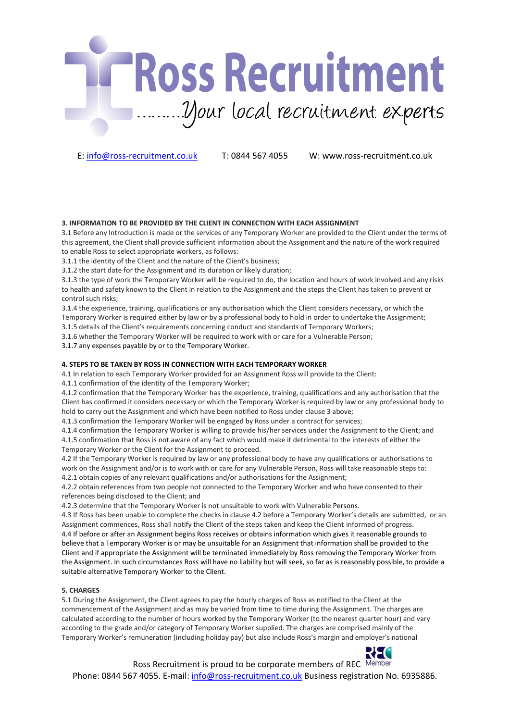

# **3. INFORMATION TO BE PROVIDED BY THE CLIENT IN CONNECTION WITH EACH ASSIGNMENT**

3.1 Before any Introduction is made or the services of any Temporary Worker are provided to the Client under the terms of this agreement, the Client shall provide sufficient information about the Assignment and the nature of the work required to enable Ross to select appropriate workers, as follows:

3.1.1 the identity of the Client and the nature of the Client's business;

3.1.2 the start date for the Assignment and its duration or likely duration;

3.1.3 the type of work the Temporary Worker will be required to do, the location and hours of work involved and any risks to health and safety known to the Client in relation to the Assignment and the steps the Client has taken to prevent or control such risks;

3.1.4 the experience, training, qualifications or any authorisation which the Client considers necessary, or which the Temporary Worker is required either by law or by a professional body to hold in order to undertake the Assignment; 3.1.5 details of the Client's requirements concerning conduct and standards of Temporary Workers;

3.1.6 whether the Temporary Worker will be required to work with or care for a Vulnerable Person;

3.1.7 any expenses payable by or to the Temporary Worker.

# **4. STEPS TO BE TAKEN BY ROSS IN CONNECTION WITH EACH TEMPORARY WORKER**

4.1 In relation to each Temporary Worker provided for an Assignment Ross will provide to the Client:

4.1.1 confirmation of the identity of the Temporary Worker;

4.1.2 confirmation that the Temporary Worker has the experience, training, qualifications and any authorisation that the Client has confirmed it considers necessary or which the Temporary Worker is required by law or any professional body to hold to carry out the Assignment and which have been notified to Ross under clause 3 above;

4.1.3 confirmation the Temporary Worker will be engaged by Ross under a contract for services;

4.1.4 confirmation the Temporary Worker is willing to provide his/her services under the Assignment to the Client; and 4.1.5 confirmation that Ross is not aware of any fact which would make it detrimental to the interests of either the Temporary Worker or the Client for the Assignment to proceed.

4.2 If the Temporary Worker is required by law or any professional body to have any qualifications or authorisations to work on the Assignment and/or is to work with or care for any Vulnerable Person, Ross will take reasonable steps to: 4.2.1 obtain copies of any relevant qualifications and/or authorisations for the Assignment;

4.2.2 obtain references from two people not connected to the Temporary Worker and who have consented to their references being disclosed to the Client; and

4.2.3 determine that the Temporary Worker is not unsuitable to work with Vulnerable Persons.

4.3 If Ross has been unable to complete the checks in clause 4.2 before a Temporary Worker's details are submitted, or an Assignment commences, Ross shall notify the Client of the steps taken and keep the Client informed of progress. 4.4 If before or after an Assignment begins Ross receives or obtains information which gives it reasonable grounds to believe that a Temporary Worker is or may be unsuitable for an Assignment that information shall be provided to the Client and if appropriate the Assignment will be terminated immediately by Ross removing the Temporary Worker from the Assignment. In such circumstances Ross will have no liability but will seek, so far as is reasonably possible, to provide a suitable alternative Temporary Worker to the Client.

# **5. CHARGES**

5.1 During the Assignment, the Client agrees to pay the hourly charges of Ross as notified to the Client at the commencement of the Assignment and as may be varied from time to time during the Assignment. The charges are calculated according to the number of hours worked by the Temporary Worker (to the nearest quarter hour) and vary according to the grade and/or category of Temporary Worker supplied. The charges are comprised mainly of the Temporary Worker's remuneration (including holiday pay) but also include Ross's margin and employer's national

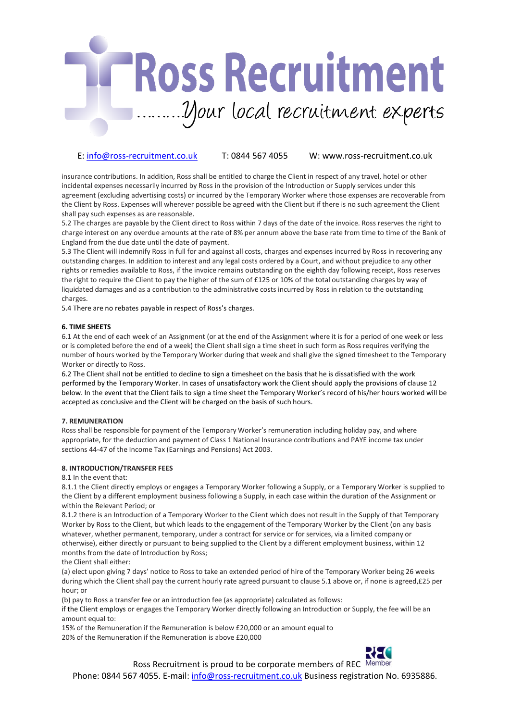

insurance contributions. In addition, Ross shall be entitled to charge the Client in respect of any travel, hotel or other incidental expenses necessarily incurred by Ross in the provision of the Introduction or Supply services under this agreement (excluding advertising costs) or incurred by the Temporary Worker where those expenses are recoverable from the Client by Ross. Expenses will wherever possible be agreed with the Client but if there is no such agreement the Client shall pay such expenses as are reasonable.

5.2 The charges are payable by the Client direct to Ross within 7 days of the date of the invoice. Ross reserves the right to charge interest on any overdue amounts at the rate of 8% per annum above the base rate from time to time of the Bank of England from the due date until the date of payment.

5.3 The Client will indemnify Ross in full for and against all costs, charges and expenses incurred by Ross in recovering any outstanding charges. In addition to interest and any legal costs ordered by a Court, and without prejudice to any other rights or remedies available to Ross, if the invoice remains outstanding on the eighth day following receipt, Ross reserves the right to require the Client to pay the higher of the sum of £125 or 10% of the total outstanding charges by way of liquidated damages and as a contribution to the administrative costs incurred by Ross in relation to the outstanding charges.

5.4 There are no rebates payable in respect of Ross's charges.

# **6. TIME SHEETS**

6.1 At the end of each week of an Assignment (or at the end of the Assignment where it is for a period of one week or less or is completed before the end of a week) the Client shall sign a time sheet in such form as Ross requires verifying the number of hours worked by the Temporary Worker during that week and shall give the signed timesheet to the Temporary Worker or directly to Ross.

6.2 The Client shall not be entitled to decline to sign a timesheet on the basis that he is dissatisfied with the work performed by the Temporary Worker. In cases of unsatisfactory work the Client should apply the provisions of clause 12 below. In the event that the Client fails to sign a time sheet the Temporary Worker's record of his/her hours worked will be accepted as conclusive and the Client will be charged on the basis of such hours.

# **7. REMUNERATION**

Ross shall be responsible for payment of the Temporary Worker's remuneration including holiday pay, and where appropriate, for the deduction and payment of Class 1 National Insurance contributions and PAYE income tax under sections 44-47 of the Income Tax (Earnings and Pensions) Act 2003.

# **8. INTRODUCTION/TRANSFER FEES**

#### 8.1 In the event that:

8.1.1 the Client directly employs or engages a Temporary Worker following a Supply, or a Temporary Worker is supplied to the Client by a different employment business following a Supply, in each case within the duration of the Assignment or within the Relevant Period; or

8.1.2 there is an Introduction of a Temporary Worker to the Client which does not result in the Supply of that Temporary Worker by Ross to the Client, but which leads to the engagement of the Temporary Worker by the Client (on any basis whatever, whether permanent, temporary, under a contract for service or for services, via a limited company or otherwise), either directly or pursuant to being supplied to the Client by a different employment business, within 12 months from the date of Introduction by Ross;

the Client shall either:

(a) elect upon giving 7 days' notice to Ross to take an extended period of hire of the Temporary Worker being 26 weeks during which the Client shall pay the current hourly rate agreed pursuant to clause 5.1 above or, if none is agreed,£25 per hour; or

(b) pay to Ross a transfer fee or an introduction fee (as appropriate) calculated as follows:

if the Client employs or engages the Temporary Worker directly following an Introduction or Supply, the fee will be an amount equal to:

15% of the Remuneration if the Remuneration is below £20,000 or an amount equal to 20% of the Remuneration if the Remuneration is above £20,000



Ross Recruitment is proud to be corporate members of REC Member

Phone: 0844 567 4055. E-mail: info@ross-recruitment.co.uk Business registration No. 6935886.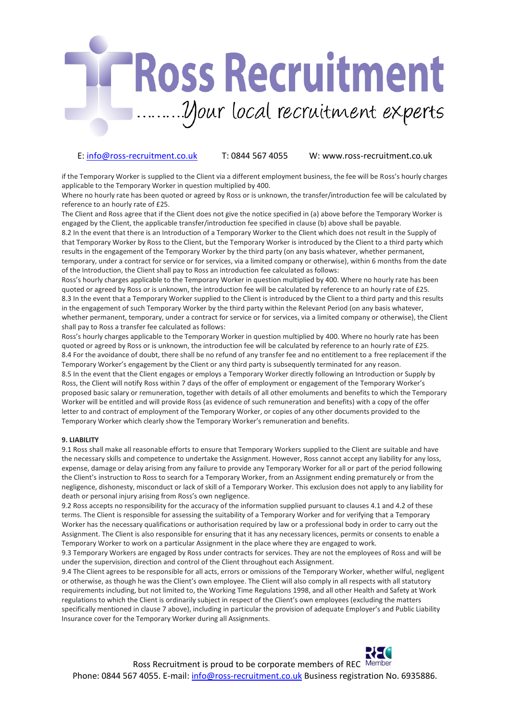# **Ross Recruitment** *Dour local recruitment experts*

# E: info@ross-recruitment.co.uk T: 0844 567 4055 W: www.ross-recruitment.co.uk

if the Temporary Worker is supplied to the Client via a different employment business, the fee will be Ross's hourly charges applicable to the Temporary Worker in question multiplied by 400.

Where no hourly rate has been quoted or agreed by Ross or is unknown, the transfer/introduction fee will be calculated by reference to an hourly rate of £25.

The Client and Ross agree that if the Client does not give the notice specified in (a) above before the Temporary Worker is engaged by the Client, the applicable transfer/introduction fee specified in clause (b) above shall be payable. 8.2 In the event that there is an Introduction of a Temporary Worker to the Client which does not result in the Supply of that Temporary Worker by Ross to the Client, but the Temporary Worker is introduced by the Client to a third party which results in the engagement of the Temporary Worker by the third party (on any basis whatever, whether permanent, temporary, under a contract for service or for services, via a limited company or otherwise), within 6 months from the date of the Introduction, the Client shall pay to Ross an introduction fee calculated as follows:

Ross's hourly charges applicable to the Temporary Worker in question multiplied by 400. Where no hourly rate has been quoted or agreed by Ross or is unknown, the introduction fee will be calculated by reference to an hourly rate of £25. 8.3 In the event that a Temporary Worker supplied to the Client is introduced by the Client to a third party and this results in the engagement of such Temporary Worker by the third party within the Relevant Period (on any basis whatever, whether permanent, temporary, under a contract for service or for services, via a limited company or otherwise), the Client shall pay to Ross a transfer fee calculated as follows:

Ross's hourly charges applicable to the Temporary Worker in question multiplied by 400. Where no hourly rate has been quoted or agreed by Ross or is unknown, the introduction fee will be calculated by reference to an hourly rate of £25. 8.4 For the avoidance of doubt, there shall be no refund of any transfer fee and no entitlement to a free replacement if the Temporary Worker's engagement by the Client or any third party is subsequently terminated for any reason. 8.5 In the event that the Client engages or employs a Temporary Worker directly following an Introduction or Supply by Ross, the Client will notify Ross within 7 days of the offer of employment or engagement of the Temporary Worker's proposed basic salary or remuneration, together with details of all other emoluments and benefits to which the Temporary Worker will be entitled and will provide Ross (as evidence of such remuneration and benefits) with a copy of the offer letter to and contract of employment of the Temporary Worker, or copies of any other documents provided to the Temporary Worker which clearly show the Temporary Worker's remuneration and benefits.

# **9. LIABILITY**

9.1 Ross shall make all reasonable efforts to ensure that Temporary Workers supplied to the Client are suitable and have the necessary skills and competence to undertake the Assignment. However, Ross cannot accept any liability for any loss, expense, damage or delay arising from any failure to provide any Temporary Worker for all or part of the period following the Client's instruction to Ross to search for a Temporary Worker, from an Assignment ending prematurely or from the negligence, dishonesty, misconduct or lack of skill of a Temporary Worker. This exclusion does not apply to any liability for death or personal injury arising from Ross's own negligence.

9.2 Ross accepts no responsibility for the accuracy of the information supplied pursuant to clauses 4.1 and 4.2 of these terms. The Client is responsible for assessing the suitability of a Temporary Worker and for verifying that a Temporary Worker has the necessary qualifications or authorisation required by law or a professional body in order to carry out the Assignment. The Client is also responsible for ensuring that it has any necessary licences, permits or consents to enable a Temporary Worker to work on a particular Assignment in the place where they are engaged to work.

9.3 Temporary Workers are engaged by Ross under contracts for services. They are not the employees of Ross and will be under the supervision, direction and control of the Client throughout each Assignment.

9.4 The Client agrees to be responsible for all acts, errors or omissions of the Temporary Worker, whether wilful, negligent or otherwise, as though he was the Client's own employee. The Client will also comply in all respects with all statutory requirements including, but not limited to, the Working Time Regulations 1998, and all other Health and Safety at Work regulations to which the Client is ordinarily subject in respect of the Client's own employees (excluding the matters specifically mentioned in clause 7 above), including in particular the provision of adequate Employer's and Public Liability Insurance cover for the Temporary Worker during all Assignments.

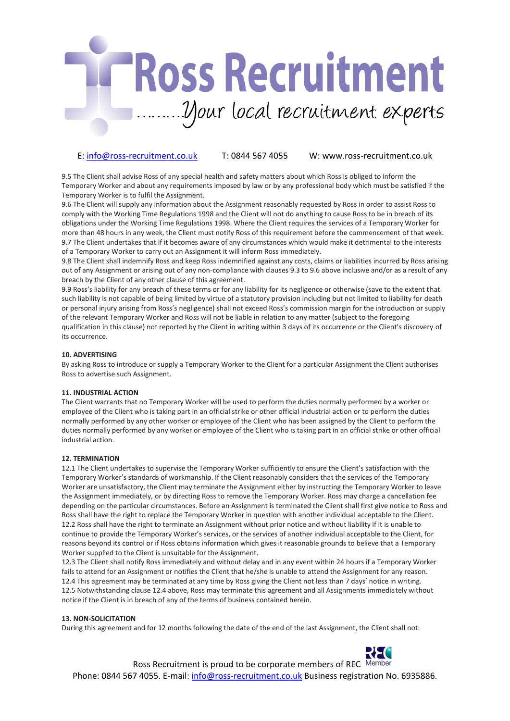

9.5 The Client shall advise Ross of any special health and safety matters about which Ross is obliged to inform the Temporary Worker and about any requirements imposed by law or by any professional body which must be satisfied if the Temporary Worker is to fulfil the Assignment.

9.6 The Client will supply any information about the Assignment reasonably requested by Ross in order to assist Ross to comply with the Working Time Regulations 1998 and the Client will not do anything to cause Ross to be in breach of its obligations under the Working Time Regulations 1998. Where the Client requires the services of a Temporary Worker for more than 48 hours in any week, the Client must notify Ross of this requirement before the commencement of that week. 9.7 The Client undertakes that if it becomes aware of any circumstances which would make it detrimental to the interests of a Temporary Worker to carry out an Assignment it will inform Ross immediately.

9.8 The Client shall indemnify Ross and keep Ross indemnified against any costs, claims or liabilities incurred by Ross arising out of any Assignment or arising out of any non-compliance with clauses 9.3 to 9.6 above inclusive and/or as a result of any breach by the Client of any other clause of this agreement.

9.9 Ross's liability for any breach of these terms or for any liability for its negligence or otherwise (save to the extent that such liability is not capable of being limited by virtue of a statutory provision including but not limited to liability for death or personal injury arising from Ross's negligence) shall not exceed Ross's commission margin for the introduction or supply of the relevant Temporary Worker and Ross will not be liable in relation to any matter (subject to the foregoing qualification in this clause) not reported by the Client in writing within 3 days of its occurrence or the Client's discovery of its occurrence.

# **10. ADVERTISING**

By asking Ross to introduce or supply a Temporary Worker to the Client for a particular Assignment the Client authorises Ross to advertise such Assignment.

### **11. INDUSTRIAL ACTION**

The Client warrants that no Temporary Worker will be used to perform the duties normally performed by a worker or employee of the Client who is taking part in an official strike or other official industrial action or to perform the duties normally performed by any other worker or employee of the Client who has been assigned by the Client to perform the duties normally performed by any worker or employee of the Client who is taking part in an official strike or other official industrial action.

#### **12. TERMINATION**

12.1 The Client undertakes to supervise the Temporary Worker sufficiently to ensure the Client's satisfaction with the Temporary Worker's standards of workmanship. If the Client reasonably considers that the services of the Temporary Worker are unsatisfactory, the Client may terminate the Assignment either by instructing the Temporary Worker to leave the Assignment immediately, or by directing Ross to remove the Temporary Worker. Ross may charge a cancellation fee depending on the particular circumstances. Before an Assignment is terminated the Client shall first give notice to Ross and Ross shall have the right to replace the Temporary Worker in question with another individual acceptable to the Client. 12.2 Ross shall have the right to terminate an Assignment without prior notice and without liability if it is unable to continue to provide the Temporary Worker's services, or the services of another individual acceptable to the Client, for reasons beyond its control or if Ross obtains information which gives it reasonable grounds to believe that a Temporary Worker supplied to the Client is unsuitable for the Assignment.

12.3 The Client shall notify Ross immediately and without delay and in any event within 24 hours if a Temporary Worker fails to attend for an Assignment or notifies the Client that he/she is unable to attend the Assignment for any reason. 12.4 This agreement may be terminated at any time by Ross giving the Client not less than 7 days' notice in writing. 12.5 Notwithstanding clause 12.4 above, Ross may terminate this agreement and all Assignments immediately without notice if the Client is in breach of any of the terms of business contained herein.

#### **13. NON-SOLICITATION**

During this agreement and for 12 months following the date of the end of the last Assignment, the Client shall not: